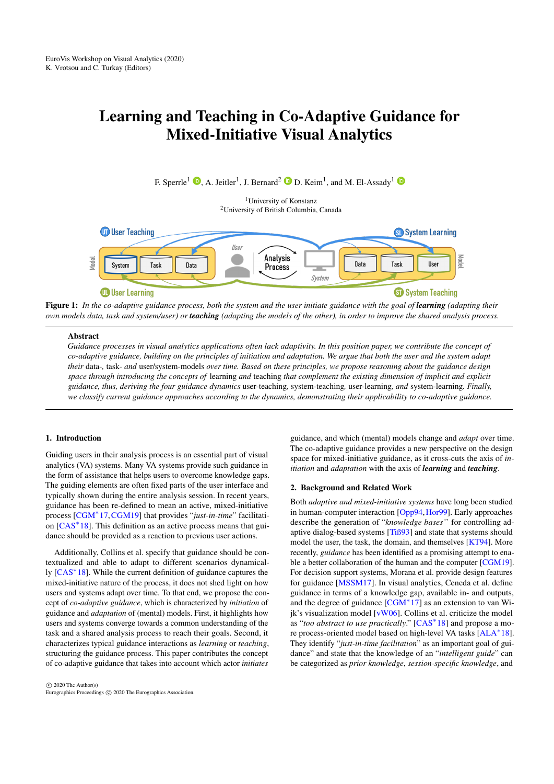# <span id="page-0-1"></span>Learning and Teaching in Co-Adaptive Guidance for Mixed-Initiative Visual Analytics

F. Sperrle<sup>1</sup>  $\mathbf{D}$ [,](https://orcid.org/0000-0002-2416-8639) A. Jeitler<sup>1</sup>, J. Bernard<sup>2</sup>  $\mathbf{D}$  D. Keim<sup>1</sup>, and M. El-Assady<sup>1</sup>

<sup>1</sup>University of Konstanz <sup>2</sup>University of British Columbia, Canada



<span id="page-0-0"></span>Figure 1: *In the co-adaptive guidance process, both the system and the user initiate guidance with the goal of learning (adapting their own models data, task and system/user) or teaching (adapting the models of the other), in order to improve the shared analysis process.*

### **Abstract**

*Guidance processes in visual analytics applications often lack adaptivity. In this position paper, we contribute the concept of co-adaptive guidance, building on the principles of initiation and adaptation. We argue that both the user and the system adapt their* data-*,* task- *and* user/system-models *over time. Based on these principles, we propose reasoning about the guidance design space through introducing the concepts of* learning *and* teaching *that complement the existing dimension of implicit and explicit guidance, thus, deriving the four guidance dynamics* user-teaching*,* system-teaching*,* user-learning*, and* system-learning*. Finally, we classify current guidance approaches according to the dynamics, demonstrating their applicability to co-adaptive guidance.*

#### 1. Introduction

Guiding users in their analysis process is an essential part of visual analytics (VA) systems. Many VA systems provide such guidance in the form of assistance that helps users to overcome knowledge gaps. The guiding elements are often fixed parts of the user interface and typically shown during the entire analysis session. In recent years, guidance has been re-defined to mean an active, mixed-initiative process [\[CGM](#page-4-0)<sup>∗</sup> 17,[CGM19\]](#page-4-1) that provides "*just-in-time*" facilitati-on [\[CAS](#page-4-2)<sup>\*</sup>18]. This definition as an active process means that guidance should be provided as a reaction to previous user actions.

Additionally, Collins et al. specify that guidance should be contextualized and able to adapt to different scenarios dynamically [\[CAS](#page-4-2)<sup>∗</sup> 18]. While the current definition of guidance captures the mixed-initiative nature of the process, it does not shed light on how users and systems adapt over time. To that end, we propose the concept of *co-adaptive guidance*, which is characterized by *initiation* of guidance and *adaptation* of (mental) models. First, it highlights how users and systems converge towards a common understanding of the task and a shared analysis process to reach their goals. Second, it characterizes typical guidance interactions as *learning* or *teaching*, structuring the guidance process. This paper contributes the concept of co-adaptive guidance that takes into account which actor *initiates*

guidance, and which (mental) models change and *adapt* over time. The co-adaptive guidance provides a new perspective on the design space for mixed-initiative guidance, as it cross-cuts the axis of *initiation* and *adaptation* with the axis of *learning* and *teaching*.

#### 2. Background and Related Work

Both *adaptive and mixed-initiative systems* have long been studied in human-computer interaction [\[Opp94,](#page-4-3)[Hor99\]](#page-4-4). Early approaches describe the generation of "*knowledge bases'*' for controlling adaptive dialog-based systems [\[Tiß93\]](#page-4-5) and state that systems should model the user, the task, the domain, and themselves [\[KT94\]](#page-4-6). More recently, *guidance* has been identified as a promising attempt to enable a better collaboration of the human and the computer [\[CGM19\]](#page-4-1). For decision support systems, Morana et al. provide design features for guidance [\[MSSM17\]](#page-4-7). In visual analytics, Ceneda et al. define guidance in terms of a knowledge gap, available in- and outputs, and the degree of guidance [\[CGM](#page-4-0)<sup>∗</sup> 17] as an extension to van Wijk's visualization model [\[vW06\]](#page-4-8). Collins et al. criticize the model as "*too abstract to use practically*." [\[CAS](#page-4-2)<sup>\*</sup>18] and propose a more process-oriented model based on high-level VA tasks [\[ALA](#page-4-9)<sup>∗</sup> 18]. They identify "*just-in-time facilitation*" as an important goal of guidance" and state that the knowledge of an "*intelligent guide*" can be categorized as *prior knowledge*, *session-specific knowledge*, and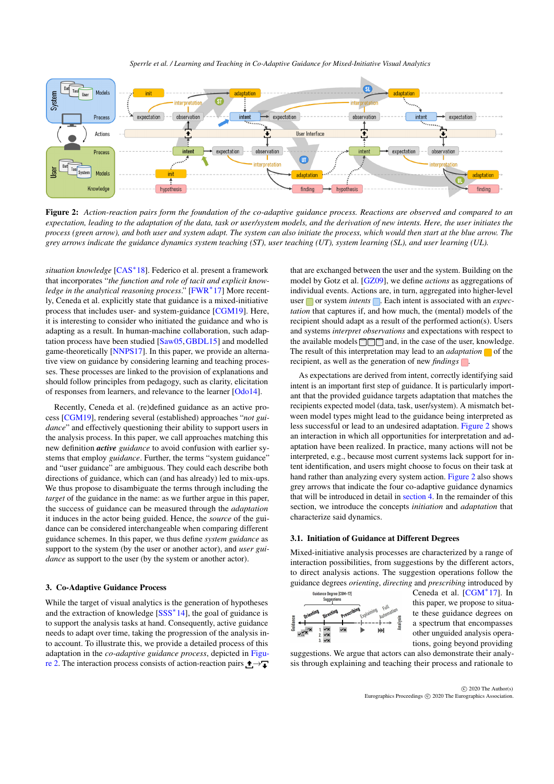*Sperrle et al. / Learning and Teaching in Co-Adaptive Guidance for Mixed-Initiative Visual Analytics*

<span id="page-1-1"></span>

<span id="page-1-0"></span>Figure 2: *Action-reaction pairs form the foundation of the co-adaptive guidance process. Reactions are observed and compared to an expectation, leading to the adaptation of the data, task or user/system models, and the derivation of new intents. Here, the user initiates the process (green arrow), and both user and system adapt. The system can also initiate the process, which would then start at the blue arrow. The grey arrows indicate the guidance dynamics system teaching (ST), user teaching (UT), system learning (SL), and user learning (UL).*

*situation knowledge* [\[CAS](#page-4-2)<sup>∗</sup> 18]. Federico et al. present a framework that incorporates "*the function and role of tacit and explicit knowledge in the analytical reasoning process*." [\[FWR](#page-4-10)<sup>∗</sup> 17] More recently, Ceneda et al. explicitly state that guidance is a mixed-initiative process that includes user- and system-guidance [\[CGM19\]](#page-4-1). Here, it is interesting to consider who initiated the guidance and who is adapting as a result. In human-machine collaboration, such adaptation process have been studied [\[Saw05,](#page-4-11)[GBDL15\]](#page-4-12) and modelled game-theoretically [\[NNPS17\]](#page-4-13). In this paper, we provide an alternative view on guidance by considering learning and teaching processes. These processes are linked to the provision of explanations and should follow principles from pedagogy, such as clarity, elicitation of responses from learners, and relevance to the learner [\[Odo14\]](#page-4-14).

Recently, Ceneda et al. (re)defined guidance as an active process [\[CGM19\]](#page-4-1), rendering several (established) approaches "*not guidance*" and effectively questioning their ability to support users in the analysis process. In this paper, we call approaches matching this new definition *active guidance* to avoid confusion with earlier systems that employ *guidance*. Further, the terms "system guidance" and "user guidance" are ambiguous. They could each describe both directions of guidance, which can (and has already) led to mix-ups. We thus propose to disambiguate the terms through including the *target* of the guidance in the name: as we further argue in this paper, the success of guidance can be measured through the *adaptation* it induces in the actor being guided. Hence, the *source* of the guidance can be considered interchangeable when comparing different guidance schemes. In this paper, we thus define *system guidance* as support to the system (by the user or another actor), and *user guidance* as support to the user (by the system or another actor).

#### 3. Co-Adaptive Guidance Process

While the target of visual analytics is the generation of hypotheses and the extraction of knowledge [\[SSS](#page-4-15)<sup>\*</sup>14], the goal of guidance is to support the analysis tasks at hand. Consequently, active guidance needs to adapt over time, taking the progression of the analysis into account. To illustrate this, we provide a detailed process of this adaptation in the *co-adaptive guidance process*, depicted in [Figu](#page-1-0)[re 2.](#page-1-0) The interaction process consists of action-reaction pairs  $\triangle \rightarrow \square$ 

that are exchanged between the user and the system. Building on the model by Gotz et al. [\[GZ09\]](#page-4-16), we define *actions* as aggregations of individual events. Actions are, in turn, aggregated into higher-level user or system *intents* **.** Each intent is associated with an *expectation* that captures if, and how much, the (mental) models of the recipient should adapt as a result of the performed action(s). Users and systems *interpret observations* and expectations with respect to the available models  $\Box \Box \Box$  and, in the case of the user, knowledge. The result of this interpretation may lead to an *adaptation*  $\Box$  of the recipient, as well as the generation of new *findings* .

As expectations are derived from intent, correctly identifying said intent is an important first step of guidance. It is particularly important that the provided guidance targets adaptation that matches the recipients expected model (data, task, user/system). A mismatch between model types might lead to the guidance being interpreted as less successful or lead to an undesired adaptation. [Figure 2](#page-1-0) shows an interaction in which all opportunities for interpretation and adaptation have been realized. In practice, many actions will not be interpreted, e.g., because most current systems lack support for intent identification, and users might choose to focus on their task at hand rather than analyzing every system action. [Figure 2](#page-1-0) also shows grey arrows that indicate the four co-adaptive guidance dynamics that will be introduced in detail in [section 4.](#page-2-0) In the remainder of this section, we introduce the concepts *initiation* and *adaptation* that characterize said dynamics.

## 3.1. Initiation of Guidance at Different Degrees

Mixed-initiative analysis processes are characterized by a range of interaction possibilities, from suggestions by the different actors, to direct analysis actions. The suggestion operations follow the guidance degrees *orienting*, *directing* and *prescribing* introduced by



Ceneda et al. [\[CGM](#page-4-0)<sup>∗</sup> 17]. In this paper, we propose to situate these guidance degrees on a spectrum that encompasses other unguided analysis operations, going beyond providing

suggestions. We argue that actors can also demonstrate their analysis through explaining and teaching their process and rationale to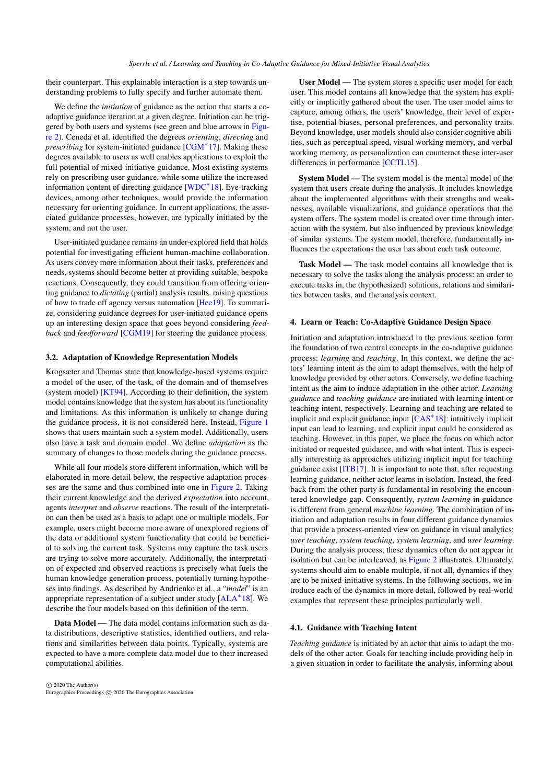<span id="page-2-1"></span>their counterpart. This explainable interaction is a step towards understanding problems to fully specify and further automate them.

We define the *initiation* of guidance as the action that starts a coadaptive guidance iteration at a given degree. Initiation can be triggered by both users and systems (see green and blue arrows in [Figu](#page-1-0)[re 2\)](#page-1-0). Ceneda et al. identified the degrees *orienting*, *directing* and *prescribing* for system-initiated guidance [\[CGM](#page-4-0)<sup>\*</sup>17]. Making these degrees available to users as well enables applications to exploit the full potential of mixed-initiative guidance. Most existing systems rely on prescribing user guidance, while some utilize the increased information content of directing guidance [\[WDC](#page-4-17)<sup>∗</sup> 18]. Eye-tracking devices, among other techniques, would provide the information necessary for orienting guidance. In current applications, the associated guidance processes, however, are typically initiated by the system, and not the user.

User-initiated guidance remains an under-explored field that holds potential for investigating efficient human-machine collaboration. As users convey more information about their tasks, preferences and needs, systems should become better at providing suitable, bespoke reactions. Consequently, they could transition from offering orienting guidance to *dictating* (partial) analysis results, raising questions of how to trade off agency versus automation [\[Hee19\]](#page-4-18). To summarize, considering guidance degrees for user-initiated guidance opens up an interesting design space that goes beyond considering *feedback* and *feedforward* [\[CGM19\]](#page-4-1) for steering the guidance process.

#### 3.2. Adaptation of Knowledge Representation Models

Krogsæter and Thomas state that knowledge-based systems require a model of the user, of the task, of the domain and of themselves (system model) [\[KT94\]](#page-4-6). According to their definition, the system model contains knowledge that the system has about its functionality and limitations. As this information is unlikely to change during the guidance process, it is not considered here. Instead, [Figure 1](#page-0-0) shows that users maintain such a system model. Additionally, users also have a task and domain model. We define *adaptation* as the summary of changes to those models during the guidance process.

While all four models store different information, which will be elaborated in more detail below, the respective adaptation processes are the same and thus combined into one in [Figure 2.](#page-1-0) Taking their current knowledge and the derived *expectation* into account, agents *interpret* and *observe* reactions. The result of the interpretation can then be used as a basis to adapt one or multiple models. For example, users might become more aware of unexplored regions of the data or additional system functionality that could be beneficial to solving the current task. Systems may capture the task users are trying to solve more accurately. Additionally, the interpretation of expected and observed reactions is precisely what fuels the human knowledge generation process, potentially turning hypotheses into findings. As described by Andrienko et al., a "*model*" is an appropriate representation of a subject under study [\[ALA](#page-4-9)<sup>∗</sup> 18]. We describe the four models based on this definition of the term.

Data Model — The data model contains information such as data distributions, descriptive statistics, identified outliers, and relations and similarities between data points. Typically, systems are expected to have a more complete data model due to their increased computational abilities.

 $\circled{c}$  2020 The Author(s) Eurographics Proceedings (C) 2020 The Eurographics Association

User Model — The system stores a specific user model for each user. This model contains all knowledge that the system has explicitly or implicitly gathered about the user. The user model aims to capture, among others, the users' knowledge, their level of expertise, potential biases, personal preferences, and personality traits. Beyond knowledge, user models should also consider cognitive abilities, such as perceptual speed, visual working memory, and verbal working memory, as personalization can counteract these inter-user differences in performance [\[CCTL15\]](#page-4-19).

System Model — The system model is the mental model of the system that users create during the analysis. It includes knowledge about the implemented algorithms with their strengths and weaknesses, available visualizations, and guidance operations that the system offers. The system model is created over time through interaction with the system, but also influenced by previous knowledge of similar systems. The system model, therefore, fundamentally influences the expectations the user has about each task outcome.

Task Model — The task model contains all knowledge that is necessary to solve the tasks along the analysis process: an order to execute tasks in, the (hypothesized) solutions, relations and similarities between tasks, and the analysis context.

#### <span id="page-2-0"></span>4. Learn or Teach: Co-Adaptive Guidance Design Space

Initiation and adaptation introduced in the previous section form the foundation of two central concepts in the co-adaptive guidance process: *learning* and *teaching*. In this context, we define the actors' learning intent as the aim to adapt themselves, with the help of knowledge provided by other actors. Conversely, we define teaching intent as the aim to induce adaptation in the other actor. *Learning guidance* and *teaching guidance* are initiated with learning intent or teaching intent, respectively. Learning and teaching are related to implicit and explicit guidance input [\[CAS](#page-4-2)<sup>∗</sup> 18]: intuitively implicit input can lead to learning, and explicit input could be considered as teaching. However, in this paper, we place the focus on which actor initiated or requested guidance, and with what intent. This is especially interesting as approaches utilizing implicit input for teaching guidance exist [\[ITB17\]](#page-4-20). It is important to note that, after requesting learning guidance, neither actor learns in isolation. Instead, the feedback from the other party is fundamental in resolving the encountered knowledge gap. Consequently, *system learning* in guidance is different from general *machine learning*. The combination of initiation and adaptation results in four different guidance dynamics that provide a process-oriented view on guidance in visual analytics: *user teaching*, *system teaching*, *system learning*, and *user learning*. During the analysis process, these dynamics often do not appear in isolation but can be interleaved, as [Figure 2](#page-1-0) illustrates. Ultimately, systems should aim to enable multiple, if not all, dynamics if they are to be mixed-initiative systems. In the following sections, we introduce each of the dynamics in more detail, followed by real-world examples that represent these principles particularly well.

#### 4.1. Guidance with Teaching Intent

*Teaching guidance* is initiated by an actor that aims to adapt the models of the other actor. Goals for teaching include providing help in a given situation in order to facilitate the analysis, informing about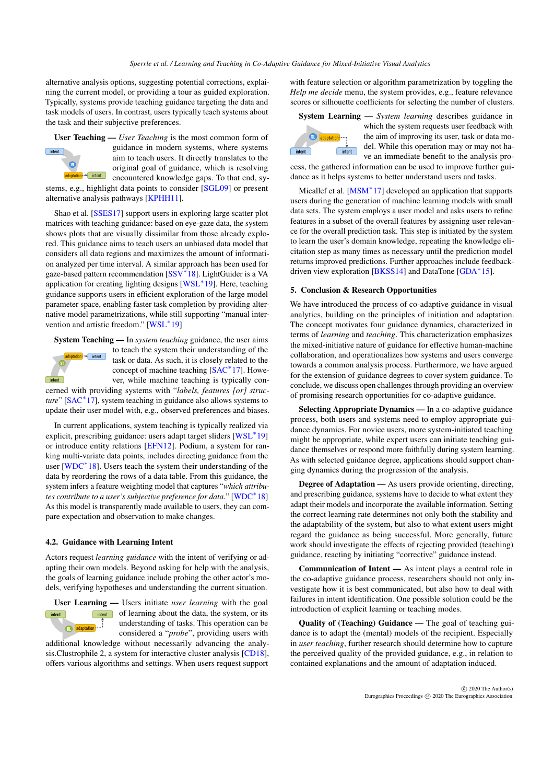<span id="page-3-0"></span>alternative analysis options, suggesting potential corrections, explaining the current model, or providing a tour as guided exploration. Typically, systems provide teaching guidance targeting the data and task models of users. In contrast, users typically teach systems about the task and their subjective preferences.

User Teaching — *User Teaching* is the most common form of guidance in modern systems, where systems  $intent$ aim to teach users. It directly translates to the  $\sqrt{ }$ original goal of guidance, which is resolving adaptation + = intent encountered knowledge gaps. To that end, sy-

stems, e.g., highlight data points to consider [\[SGL09\]](#page-4-21) or present alternative analysis pathways [\[KPHH11\]](#page-4-22).

Shao et al. [\[SSES17\]](#page-4-23) support users in exploring large scatter plot matrices with teaching guidance: based on eye-gaze data, the system shows plots that are visually dissimilar from those already explored. This guidance aims to teach users an unbiased data model that considers all data regions and maximizes the amount of information analyzed per time interval. A similar approach has been used for gaze-based pattern recommendation [\[SSV](#page-4-24)<sup>\*</sup>18]. LightGuider is a VA application for creating lighting designs [\[WSL](#page-4-25)<sup>\*</sup>19]. Here, teaching guidance supports users in efficient exploration of the large model parameter space, enabling faster task completion by providing alternative model parametrizations, while still supporting "manual inter-vention and artistic freedom." [\[WSL](#page-4-25)<sup>\*</sup>19]

System Teaching — In *system teaching* guidance, the user aims



to teach the system their understanding of the task or data. As such, it is closely related to the concept of machine teaching [\[SAC](#page-4-26)<sup>∗</sup>17]. However, while machine teaching is typically con-

cerned with providing systems with "*labels, features [or] structure*" [\[SAC](#page-4-26)<sup>∗</sup> 17], system teaching in guidance also allows systems to update their user model with, e.g., observed preferences and biases.

In current applications, system teaching is typically realized via explicit, prescribing guidance: users adapt target sliders [\[WSL](#page-4-25)<sup>\*</sup>19] or introduce entity relations [\[EFN12\]](#page-4-27). Podium, a system for ranking multi-variate data points, includes directing guidance from the user [\[WDC](#page-4-17)<sup>∗</sup> 18]. Users teach the system their understanding of the data by reordering the rows of a data table. From this guidance, the system infers a feature weighting model that captures "*which attributes contribute to a user's subjective preference for data.*" [\[WDC](#page-4-17)<sup>∗</sup> 18] As this model is transparently made available to users, they can compare expectation and observation to make changes.

#### 4.2. Guidance with Learning Intent

Actors request *learning guidance* with the intent of verifying or adapting their own models. Beyond asking for help with the analysis, the goals of learning guidance include probing the other actor's models, verifying hypotheses and understanding the current situation.



User Learning — Users initiate *user learning* with the goal **of learning about the data, the system, or its** understanding of tasks. This operation can be considered a "*probe*", providing users with

additional knowledge without necessarily advancing the analysis.Clustrophile 2, a system for interactive cluster analysis [\[CD18\]](#page-4-28), offers various algorithms and settings. When users request support

with feature selection or algorithm parametrization by toggling the *Help me decide* menu, the system provides, e.g., feature relevance scores or silhouette coefficients for selecting the number of clusters.

# System Learning — *System learning* describes guidance in



which the system requests user feedback with the aim of improving its user, task or data model. While this operation may or may not have an immediate benefit to the analysis pro-

cess, the gathered information can be used to improve further guidance as it helps systems to better understand users and tasks.

Micallef et al. [\[MSM](#page-4-29)<sup>\*</sup>17] developed an application that supports users during the generation of machine learning models with small data sets. The system employs a user model and asks users to refine features in a subset of the overall features by assigning user relevance for the overall prediction task. This step is initiated by the system to learn the user's domain knowledge, repeating the knowledge elicitation step as many times as necessary until the prediction model returns improved predictions. Further approaches include feedback-driven view exploration [\[BKSS14\]](#page-4-30) and DataTone [\[GDA](#page-4-31)<sup>\*</sup>15].

# 5. Conclusion & Research Opportunities

We have introduced the process of co-adaptive guidance in visual analytics, building on the principles of initiation and adaptation. The concept motivates four guidance dynamics, characterized in terms of *learning* and *teaching*. This characterization emphasizes the mixed-initiative nature of guidance for effective human-machine collaboration, and operationalizes how systems and users converge towards a common analysis process. Furthermore, we have argued for the extension of guidance degrees to cover system guidance. To conclude, we discuss open challenges through providing an overview of promising research opportunities for co-adaptive guidance.

Selecting Appropriate Dynamics — In a co-adaptive guidance process, both users and systems need to employ appropriate guidance dynamics. For novice users, more system-initiated teaching might be appropriate, while expert users can initiate teaching guidance themselves or respond more faithfully during system learning. As with selected guidance degree, applications should support changing dynamics during the progression of the analysis.

Degree of Adaptation — As users provide orienting, directing, and prescribing guidance, systems have to decide to what extent they adapt their models and incorporate the available information. Setting the correct learning rate determines not only both the stability and the adaptability of the system, but also to what extent users might regard the guidance as being successful. More generally, future work should investigate the effects of rejecting provided (teaching) guidance, reacting by initiating "corrective" guidance instead.

Communication of Intent — As intent plays a central role in the co-adaptive guidance process, researchers should not only investigate how it is best communicated, but also how to deal with failures in intent identification. One possible solution could be the introduction of explicit learning or teaching modes.

Quality of (Teaching) Guidance — The goal of teaching guidance is to adapt the (mental) models of the recipient. Especially in *user teaching*, further research should determine how to capture the perceived quality of the provided guidance, e.g., in relation to contained explanations and the amount of adaptation induced.